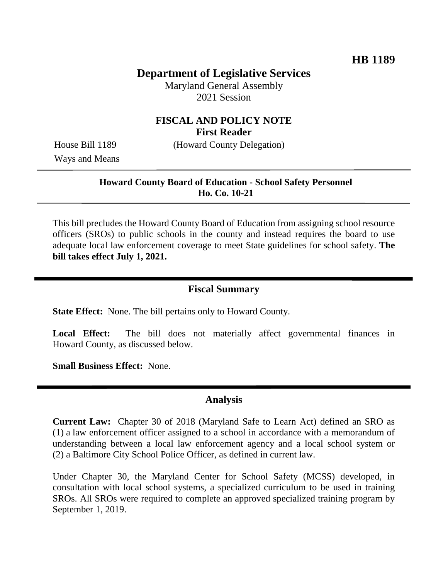# **Department of Legislative Services**

Maryland General Assembly 2021 Session

## **FISCAL AND POLICY NOTE First Reader**

House Bill 1189 (Howard County Delegation)

Ways and Means

#### **Howard County Board of Education - School Safety Personnel Ho. Co. 10-21**

This bill precludes the Howard County Board of Education from assigning school resource officers (SROs) to public schools in the county and instead requires the board to use adequate local law enforcement coverage to meet State guidelines for school safety. **The bill takes effect July 1, 2021.**

### **Fiscal Summary**

**State Effect:** None. The bill pertains only to Howard County.

**Local Effect:** The bill does not materially affect governmental finances in Howard County, as discussed below.

**Small Business Effect:** None.

### **Analysis**

**Current Law:** Chapter 30 of 2018 (Maryland Safe to Learn Act) defined an SRO as (1) a law enforcement officer assigned to a school in accordance with a memorandum of understanding between a local law enforcement agency and a local school system or (2) a Baltimore City School Police Officer, as defined in current law.

Under Chapter 30, the Maryland Center for School Safety (MCSS) developed, in consultation with local school systems, a specialized curriculum to be used in training SROs. All SROs were required to complete an approved specialized training program by September 1, 2019.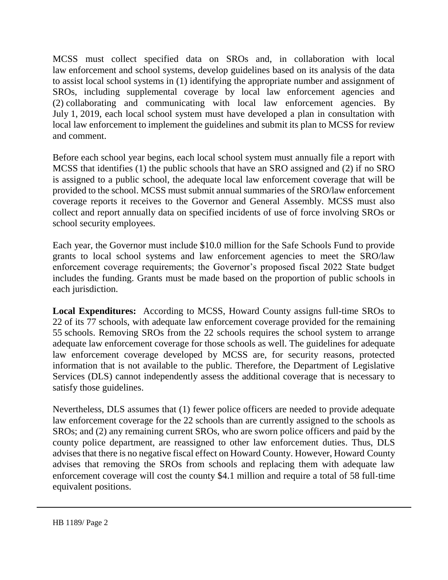MCSS must collect specified data on SROs and, in collaboration with local law enforcement and school systems, develop guidelines based on its analysis of the data to assist local school systems in (1) identifying the appropriate number and assignment of SROs, including supplemental coverage by local law enforcement agencies and (2) collaborating and communicating with local law enforcement agencies. By July 1, 2019, each local school system must have developed a plan in consultation with local law enforcement to implement the guidelines and submit its plan to MCSS for review and comment.

Before each school year begins, each local school system must annually file a report with MCSS that identifies (1) the public schools that have an SRO assigned and (2) if no SRO is assigned to a public school, the adequate local law enforcement coverage that will be provided to the school. MCSS must submit annual summaries of the SRO/law enforcement coverage reports it receives to the Governor and General Assembly. MCSS must also collect and report annually data on specified incidents of use of force involving SROs or school security employees.

Each year, the Governor must include \$10.0 million for the Safe Schools Fund to provide grants to local school systems and law enforcement agencies to meet the SRO/law enforcement coverage requirements; the Governor's proposed fiscal 2022 State budget includes the funding. Grants must be made based on the proportion of public schools in each jurisdiction.

**Local Expenditures:** According to MCSS, Howard County assigns full-time SROs to 22 of its 77 schools, with adequate law enforcement coverage provided for the remaining 55 schools. Removing SROs from the 22 schools requires the school system to arrange adequate law enforcement coverage for those schools as well. The guidelines for adequate law enforcement coverage developed by MCSS are, for security reasons, protected information that is not available to the public. Therefore, the Department of Legislative Services (DLS) cannot independently assess the additional coverage that is necessary to satisfy those guidelines.

Nevertheless, DLS assumes that (1) fewer police officers are needed to provide adequate law enforcement coverage for the 22 schools than are currently assigned to the schools as SROs; and (2) any remaining current SROs, who are sworn police officers and paid by the county police department, are reassigned to other law enforcement duties. Thus, DLS advises that there is no negative fiscal effect on Howard County. However, Howard County advises that removing the SROs from schools and replacing them with adequate law enforcement coverage will cost the county \$4.1 million and require a total of 58 full-time equivalent positions.